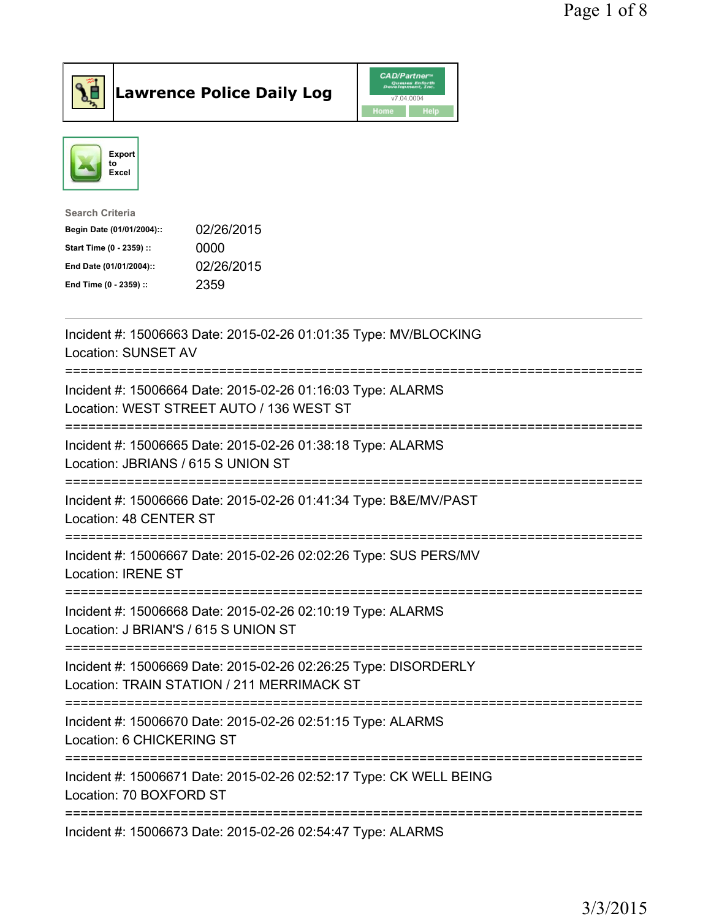



| <b>Search Criteria</b>    |            |
|---------------------------|------------|
| Begin Date (01/01/2004):: | 02/26/2015 |
| Start Time (0 - 2359) ::  | 0000       |
| End Date (01/01/2004)::   | 02/26/2015 |
| End Time (0 - 2359) ::    | 2359       |
|                           |            |

| Incident #: 15006663 Date: 2015-02-26 01:01:35 Type: MV/BLOCKING<br><b>Location: SUNSET AV</b>                    |
|-------------------------------------------------------------------------------------------------------------------|
| Incident #: 15006664 Date: 2015-02-26 01:16:03 Type: ALARMS<br>Location: WEST STREET AUTO / 136 WEST ST           |
| Incident #: 15006665 Date: 2015-02-26 01:38:18 Type: ALARMS<br>Location: JBRIANS / 615 S UNION ST                 |
| Incident #: 15006666 Date: 2015-02-26 01:41:34 Type: B&E/MV/PAST<br>Location: 48 CENTER ST                        |
| Incident #: 15006667 Date: 2015-02-26 02:02:26 Type: SUS PERS/MV<br><b>Location: IRENE ST</b><br>---------------- |
| Incident #: 15006668 Date: 2015-02-26 02:10:19 Type: ALARMS<br>Location: J BRIAN'S / 615 S UNION ST<br>---------  |
| Incident #: 15006669 Date: 2015-02-26 02:26:25 Type: DISORDERLY<br>Location: TRAIN STATION / 211 MERRIMACK ST     |
| Incident #: 15006670 Date: 2015-02-26 02:51:15 Type: ALARMS<br>Location: 6 CHICKERING ST                          |
| Incident #: 15006671 Date: 2015-02-26 02:52:17 Type: CK WELL BEING<br>Location: 70 BOXFORD ST                     |
| Incident #: 15006673 Date: 2015-02-26 02:54:47 Type: ALARMS                                                       |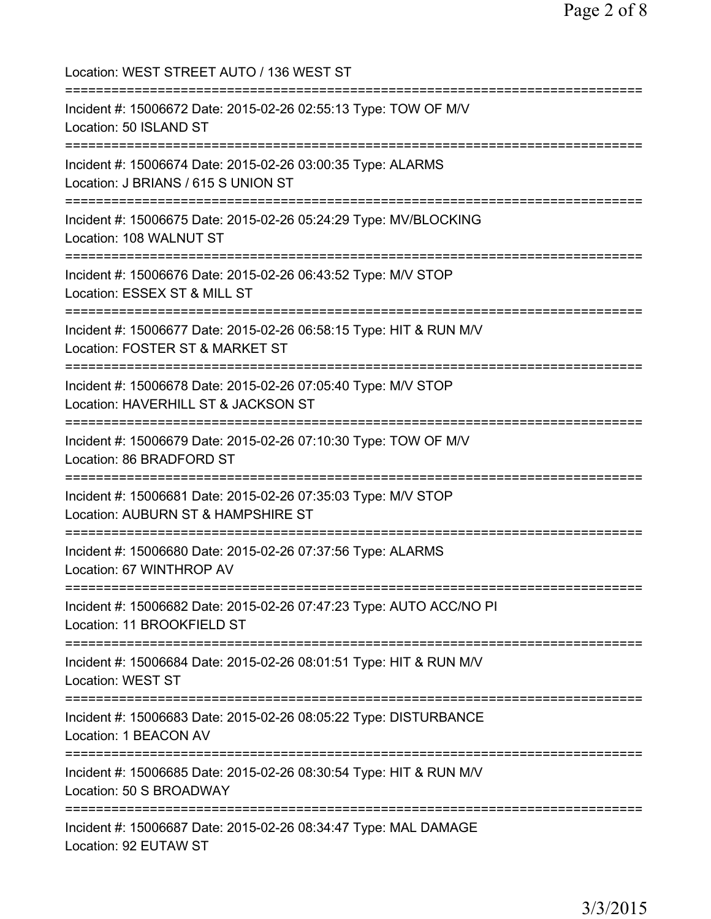Location: WEST STREET AUTO / 136 WEST ST =========================================================================== Incident #: 15006672 Date: 2015-02-26 02:55:13 Type: TOW OF M/V Location: 50 ISLAND ST =========================================================================== Incident #: 15006674 Date: 2015-02-26 03:00:35 Type: ALARMS Location: J BRIANS / 615 S UNION ST =========================================================================== Incident #: 15006675 Date: 2015-02-26 05:24:29 Type: MV/BLOCKING Location: 108 WALNUT ST =========================================================================== Incident #: 15006676 Date: 2015-02-26 06:43:52 Type: M/V STOP Location: ESSEX ST & MILL ST =========================================================================== Incident #: 15006677 Date: 2015-02-26 06:58:15 Type: HIT & RUN M/V Location: FOSTER ST & MARKET ST =========================================================================== Incident #: 15006678 Date: 2015-02-26 07:05:40 Type: M/V STOP Location: HAVERHILL ST & JACKSON ST =========================================================================== Incident #: 15006679 Date: 2015-02-26 07:10:30 Type: TOW OF M/V Location: 86 BRADFORD ST =========================================================================== Incident #: 15006681 Date: 2015-02-26 07:35:03 Type: M/V STOP Location: AUBURN ST & HAMPSHIRE ST =========================================================================== Incident #: 15006680 Date: 2015-02-26 07:37:56 Type: ALARMS Location: 67 WINTHROP AV =========================================================================== Incident #: 15006682 Date: 2015-02-26 07:47:23 Type: AUTO ACC/NO PI Location: 11 BROOKFIELD ST =========================================================================== Incident #: 15006684 Date: 2015-02-26 08:01:51 Type: HIT & RUN M/V Location: WEST ST =========================================================================== Incident #: 15006683 Date: 2015-02-26 08:05:22 Type: DISTURBANCE Location: 1 BEACON AV =========================================================================== Incident #: 15006685 Date: 2015-02-26 08:30:54 Type: HIT & RUN M/V Location: 50 S BROADWAY =========================================================================== Incident #: 15006687 Date: 2015-02-26 08:34:47 Type: MAL DAMAGE Location: 92 EUTAW ST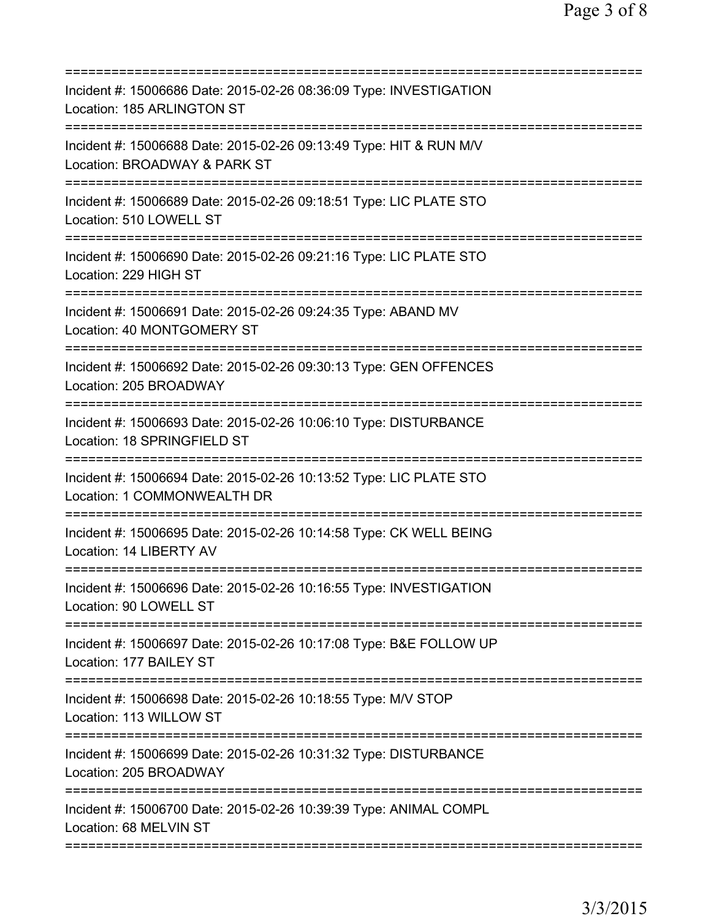| Incident #: 15006686 Date: 2015-02-26 08:36:09 Type: INVESTIGATION<br>Location: 185 ARLINGTON ST<br>===================== |
|---------------------------------------------------------------------------------------------------------------------------|
| Incident #: 15006688 Date: 2015-02-26 09:13:49 Type: HIT & RUN M/V<br>Location: BROADWAY & PARK ST                        |
| Incident #: 15006689 Date: 2015-02-26 09:18:51 Type: LIC PLATE STO<br>Location: 510 LOWELL ST                             |
| Incident #: 15006690 Date: 2015-02-26 09:21:16 Type: LIC PLATE STO<br>Location: 229 HIGH ST                               |
| Incident #: 15006691 Date: 2015-02-26 09:24:35 Type: ABAND MV<br>Location: 40 MONTGOMERY ST                               |
| Incident #: 15006692 Date: 2015-02-26 09:30:13 Type: GEN OFFENCES<br>Location: 205 BROADWAY                               |
| Incident #: 15006693 Date: 2015-02-26 10:06:10 Type: DISTURBANCE<br>Location: 18 SPRINGFIELD ST                           |
| Incident #: 15006694 Date: 2015-02-26 10:13:52 Type: LIC PLATE STO<br>Location: 1 COMMONWEALTH DR<br>----------------     |
| Incident #: 15006695 Date: 2015-02-26 10:14:58 Type: CK WELL BEING<br>Location: 14 LIBERTY AV                             |
| Incident #: 15006696 Date: 2015-02-26 10:16:55 Type: INVESTIGATION<br>Location: 90 LOWELL ST                              |
| Incident #: 15006697 Date: 2015-02-26 10:17:08 Type: B&E FOLLOW UP<br>Location: 177 BAILEY ST                             |
| Incident #: 15006698 Date: 2015-02-26 10:18:55 Type: M/V STOP<br>Location: 113 WILLOW ST                                  |
| Incident #: 15006699 Date: 2015-02-26 10:31:32 Type: DISTURBANCE<br>Location: 205 BROADWAY                                |
| Incident #: 15006700 Date: 2015-02-26 10:39:39 Type: ANIMAL COMPL<br>Location: 68 MELVIN ST                               |
|                                                                                                                           |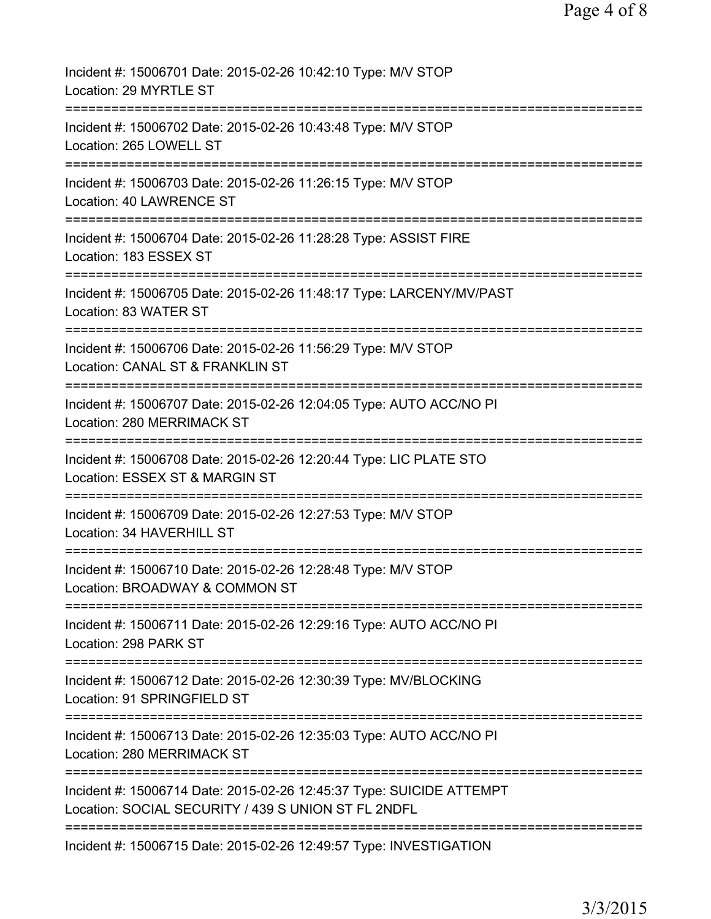| Incident #: 15006701 Date: 2015-02-26 10:42:10 Type: M/V STOP<br>Location: 29 MYRTLE ST                                             |
|-------------------------------------------------------------------------------------------------------------------------------------|
| Incident #: 15006702 Date: 2015-02-26 10:43:48 Type: M/V STOP<br>Location: 265 LOWELL ST                                            |
| Incident #: 15006703 Date: 2015-02-26 11:26:15 Type: M/V STOP<br><b>Location: 40 LAWRENCE ST</b>                                    |
| Incident #: 15006704 Date: 2015-02-26 11:28:28 Type: ASSIST FIRE<br>Location: 183 ESSEX ST                                          |
| Incident #: 15006705 Date: 2015-02-26 11:48:17 Type: LARCENY/MV/PAST<br>Location: 83 WATER ST                                       |
| ==============================<br>Incident #: 15006706 Date: 2015-02-26 11:56:29 Type: M/V STOP<br>Location: CANAL ST & FRANKLIN ST |
| Incident #: 15006707 Date: 2015-02-26 12:04:05 Type: AUTO ACC/NO PI<br>Location: 280 MERRIMACK ST                                   |
| Incident #: 15006708 Date: 2015-02-26 12:20:44 Type: LIC PLATE STO<br>Location: ESSEX ST & MARGIN ST                                |
| Incident #: 15006709 Date: 2015-02-26 12:27:53 Type: M/V STOP<br>Location: 34 HAVERHILL ST                                          |
| Incident #: 15006710 Date: 2015-02-26 12:28:48 Type: M/V STOP<br>Location: BROADWAY & COMMON ST                                     |
| Incident #: 15006711 Date: 2015-02-26 12:29:16 Type: AUTO ACC/NO PI<br>Location: 298 PARK ST                                        |
| =========================<br>Incident #: 15006712 Date: 2015-02-26 12:30:39 Type: MV/BLOCKING<br>Location: 91 SPRINGFIELD ST        |
| Incident #: 15006713 Date: 2015-02-26 12:35:03 Type: AUTO ACC/NO PI<br>Location: 280 MERRIMACK ST                                   |
| Incident #: 15006714 Date: 2015-02-26 12:45:37 Type: SUICIDE ATTEMPT<br>Location: SOCIAL SECURITY / 439 S UNION ST FL 2NDFL         |
| ============================<br>Incident #: 15006715 Date: 2015-02-26 12:49:57 Type: INVESTIGATION                                  |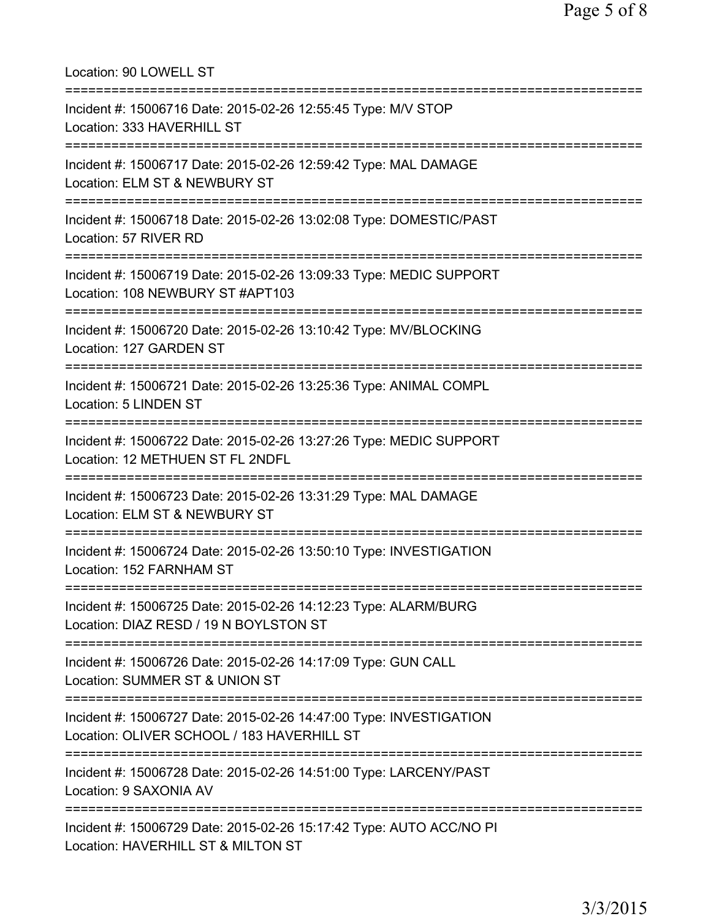| Location: 90 LOWELL ST                                                                                                                       |
|----------------------------------------------------------------------------------------------------------------------------------------------|
| Incident #: 15006716 Date: 2015-02-26 12:55:45 Type: M/V STOP<br>Location: 333 HAVERHILL ST                                                  |
| Incident #: 15006717 Date: 2015-02-26 12:59:42 Type: MAL DAMAGE<br>Location: ELM ST & NEWBURY ST<br>:========================                |
| Incident #: 15006718 Date: 2015-02-26 13:02:08 Type: DOMESTIC/PAST<br>Location: 57 RIVER RD                                                  |
| Incident #: 15006719 Date: 2015-02-26 13:09:33 Type: MEDIC SUPPORT<br>Location: 108 NEWBURY ST #APT103<br>================================== |
| Incident #: 15006720 Date: 2015-02-26 13:10:42 Type: MV/BLOCKING<br>Location: 127 GARDEN ST                                                  |
| Incident #: 15006721 Date: 2015-02-26 13:25:36 Type: ANIMAL COMPL<br><b>Location: 5 LINDEN ST</b>                                            |
| Incident #: 15006722 Date: 2015-02-26 13:27:26 Type: MEDIC SUPPORT<br>Location: 12 METHUEN ST FL 2NDFL                                       |
| Incident #: 15006723 Date: 2015-02-26 13:31:29 Type: MAL DAMAGE<br>Location: ELM ST & NEWBURY ST                                             |
| Incident #: 15006724 Date: 2015-02-26 13:50:10 Type: INVESTIGATION<br>Location: 152 FARNHAM ST                                               |
| Incident #: 15006725 Date: 2015-02-26 14:12:23 Type: ALARM/BURG<br>Location: DIAZ RESD / 19 N BOYLSTON ST                                    |
| Incident #: 15006726 Date: 2015-02-26 14:17:09 Type: GUN CALL<br>Location: SUMMER ST & UNION ST                                              |
| ======<br>Incident #: 15006727 Date: 2015-02-26 14:47:00 Type: INVESTIGATION<br>Location: OLIVER SCHOOL / 183 HAVERHILL ST                   |
| Incident #: 15006728 Date: 2015-02-26 14:51:00 Type: LARCENY/PAST<br>Location: 9 SAXONIA AV                                                  |
| =======================<br>Incident #: 15006729 Date: 2015-02-26 15:17:42 Type: AUTO ACC/NO PI<br>Location: HAVERHILL ST & MILTON ST         |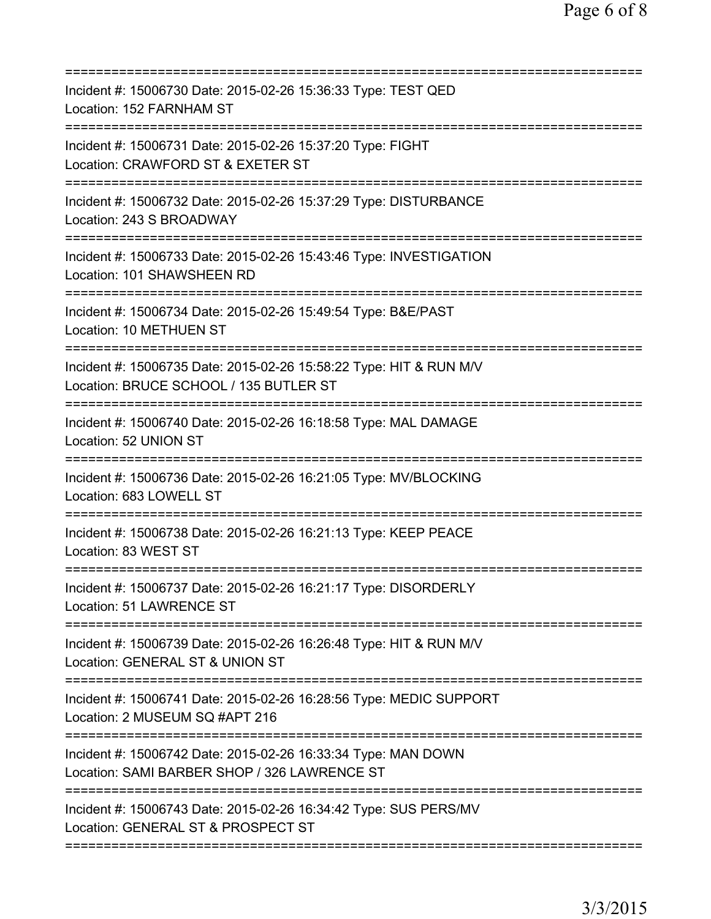| Incident #: 15006730 Date: 2015-02-26 15:36:33 Type: TEST QED<br>Location: 152 FARNHAM ST<br>=====================<br>--------------- |
|---------------------------------------------------------------------------------------------------------------------------------------|
| Incident #: 15006731 Date: 2015-02-26 15:37:20 Type: FIGHT<br>Location: CRAWFORD ST & EXETER ST                                       |
| Incident #: 15006732 Date: 2015-02-26 15:37:29 Type: DISTURBANCE<br>Location: 243 S BROADWAY                                          |
| Incident #: 15006733 Date: 2015-02-26 15:43:46 Type: INVESTIGATION<br>Location: 101 SHAWSHEEN RD                                      |
| Incident #: 15006734 Date: 2015-02-26 15:49:54 Type: B&E/PAST<br>Location: 10 METHUEN ST                                              |
| Incident #: 15006735 Date: 2015-02-26 15:58:22 Type: HIT & RUN M/V<br>Location: BRUCE SCHOOL / 135 BUTLER ST                          |
| Incident #: 15006740 Date: 2015-02-26 16:18:58 Type: MAL DAMAGE<br>Location: 52 UNION ST                                              |
| Incident #: 15006736 Date: 2015-02-26 16:21:05 Type: MV/BLOCKING<br>Location: 683 LOWELL ST                                           |
| Incident #: 15006738 Date: 2015-02-26 16:21:13 Type: KEEP PEACE<br>Location: 83 WEST ST                                               |
| Incident #: 15006737 Date: 2015-02-26 16:21:17 Type: DISORDERLY<br>Location: 51 LAWRENCE ST                                           |
| Incident #: 15006739 Date: 2015-02-26 16:26:48 Type: HIT & RUN M/V<br>Location: GENERAL ST & UNION ST                                 |
| Incident #: 15006741 Date: 2015-02-26 16:28:56 Type: MEDIC SUPPORT<br>Location: 2 MUSEUM SQ #APT 216                                  |
| Incident #: 15006742 Date: 2015-02-26 16:33:34 Type: MAN DOWN<br>Location: SAMI BARBER SHOP / 326 LAWRENCE ST                         |
| Incident #: 15006743 Date: 2015-02-26 16:34:42 Type: SUS PERS/MV<br>Location: GENERAL ST & PROSPECT ST                                |
|                                                                                                                                       |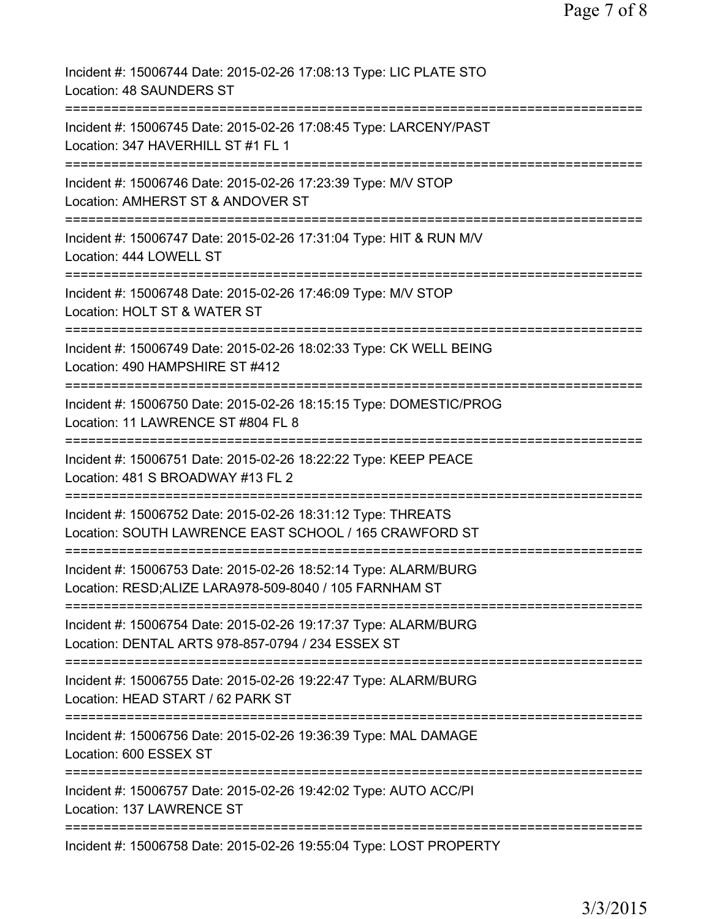| Incident #: 15006744 Date: 2015-02-26 17:08:13 Type: LIC PLATE STO<br>Location: 48 SAUNDERS ST                                                           |
|----------------------------------------------------------------------------------------------------------------------------------------------------------|
| Incident #: 15006745 Date: 2015-02-26 17:08:45 Type: LARCENY/PAST<br>Location: 347 HAVERHILL ST #1 FL 1                                                  |
| Incident #: 15006746 Date: 2015-02-26 17:23:39 Type: M/V STOP<br>Location: AMHERST ST & ANDOVER ST                                                       |
| Incident #: 15006747 Date: 2015-02-26 17:31:04 Type: HIT & RUN M/V<br>Location: 444 LOWELL ST                                                            |
| Incident #: 15006748 Date: 2015-02-26 17:46:09 Type: M/V STOP<br>Location: HOLT ST & WATER ST                                                            |
| Incident #: 15006749 Date: 2015-02-26 18:02:33 Type: CK WELL BEING<br>Location: 490 HAMPSHIRE ST #412                                                    |
| Incident #: 15006750 Date: 2015-02-26 18:15:15 Type: DOMESTIC/PROG<br>Location: 11 LAWRENCE ST #804 FL 8<br>:===========================<br>============ |
| Incident #: 15006751 Date: 2015-02-26 18:22:22 Type: KEEP PEACE<br>Location: 481 S BROADWAY #13 FL 2                                                     |
| Incident #: 15006752 Date: 2015-02-26 18:31:12 Type: THREATS<br>Location: SOUTH LAWRENCE EAST SCHOOL / 165 CRAWFORD ST                                   |
| Incident #: 15006753 Date: 2015-02-26 18:52:14 Type: ALARM/BURG<br>Location: RESD;ALIZE LARA978-509-8040 / 105 FARNHAM ST                                |
| =========================<br>Incident #: 15006754 Date: 2015-02-26 19:17:37 Type: ALARM/BURG<br>Location: DENTAL ARTS 978-857-0794 / 234 ESSEX ST        |
| ================================<br>Incident #: 15006755 Date: 2015-02-26 19:22:47 Type: ALARM/BURG<br>Location: HEAD START / 62 PARK ST                 |
| Incident #: 15006756 Date: 2015-02-26 19:36:39 Type: MAL DAMAGE<br>Location: 600 ESSEX ST                                                                |
| Incident #: 15006757 Date: 2015-02-26 19:42:02 Type: AUTO ACC/PI<br>Location: 137 LAWRENCE ST                                                            |
| Incident #: 15006758 Date: 2015-02-26 19:55:04 Type: LOST PROPERTY                                                                                       |